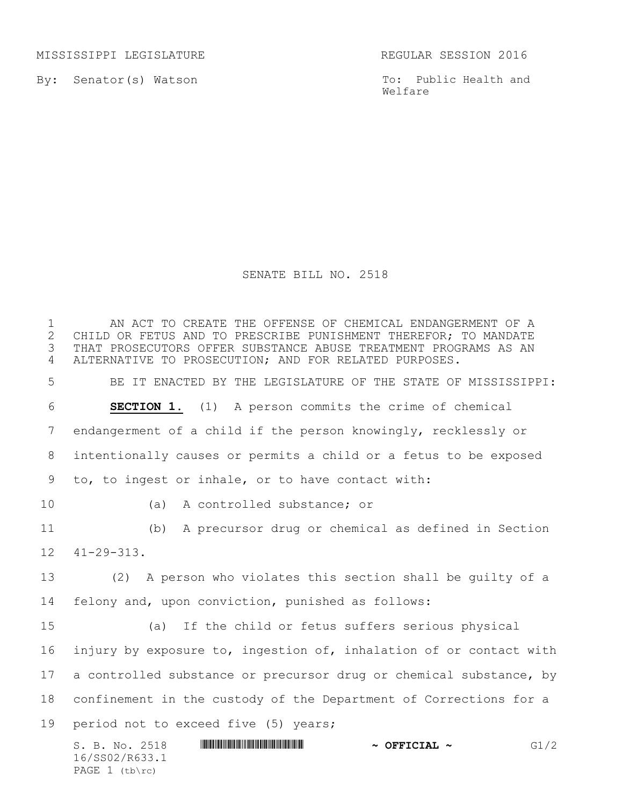MISSISSIPPI LEGISLATURE REGULAR SESSION 2016

By: Senator(s) Watson

PAGE 1 (tb\rc)

To: Public Health and Welfare

## SENATE BILL NO. 2518

S. B. No. 2518 \*SS02/R633.1\* **~ OFFICIAL ~** G1/2 16/SS02/R633.1 1 THE AN ACT TO CREATE THE OFFENSE OF CHEMICAL ENDANGERMENT OF A<br>2 CHILD OR FETUS AND TO PRESCRIBE PUNISHMENT THEREFOR: TO MANDATE 2 CHILD OR FETUS AND TO PRESCRIBE PUNISHMENT THEREFOR; TO MANDATE<br>3 THAT PROSECUTORS OFFER SUBSTANCE ABUSE TREATMENT PROGRAMS AS AN THAT PROSECUTORS OFFER SUBSTANCE ABUSE TREATMENT PROGRAMS AS AN ALTERNATIVE TO PROSECUTION; AND FOR RELATED PURPOSES. BE IT ENACTED BY THE LEGISLATURE OF THE STATE OF MISSISSIPPI: **SECTION 1.** (1) A person commits the crime of chemical endangerment of a child if the person knowingly, recklessly or intentionally causes or permits a child or a fetus to be exposed to, to ingest or inhale, or to have contact with: (a) A controlled substance; or (b) A precursor drug or chemical as defined in Section 41-29-313. (2) A person who violates this section shall be guilty of a felony and, upon conviction, punished as follows: (a) If the child or fetus suffers serious physical injury by exposure to, ingestion of, inhalation of or contact with 17 a controlled substance or precursor drug or chemical substance, by confinement in the custody of the Department of Corrections for a period not to exceed five (5) years;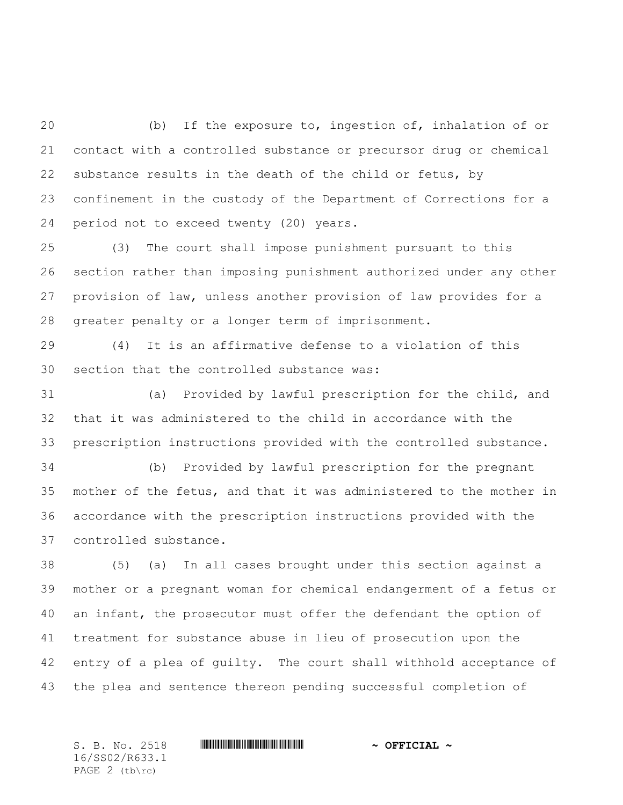(b) If the exposure to, ingestion of, inhalation of or contact with a controlled substance or precursor drug or chemical substance results in the death of the child or fetus, by confinement in the custody of the Department of Corrections for a period not to exceed twenty (20) years.

 (3) The court shall impose punishment pursuant to this section rather than imposing punishment authorized under any other provision of law, unless another provision of law provides for a greater penalty or a longer term of imprisonment.

 (4) It is an affirmative defense to a violation of this section that the controlled substance was:

 (a) Provided by lawful prescription for the child, and that it was administered to the child in accordance with the prescription instructions provided with the controlled substance.

 (b) Provided by lawful prescription for the pregnant mother of the fetus, and that it was administered to the mother in accordance with the prescription instructions provided with the controlled substance.

 (5) (a) In all cases brought under this section against a mother or a pregnant woman for chemical endangerment of a fetus or an infant, the prosecutor must offer the defendant the option of treatment for substance abuse in lieu of prosecution upon the entry of a plea of guilty. The court shall withhold acceptance of the plea and sentence thereon pending successful completion of

16/SS02/R633.1 PAGE 2 (tb\rc)

S. B. No. 2518 \*SS02/R633.1\* **~ OFFICIAL ~**